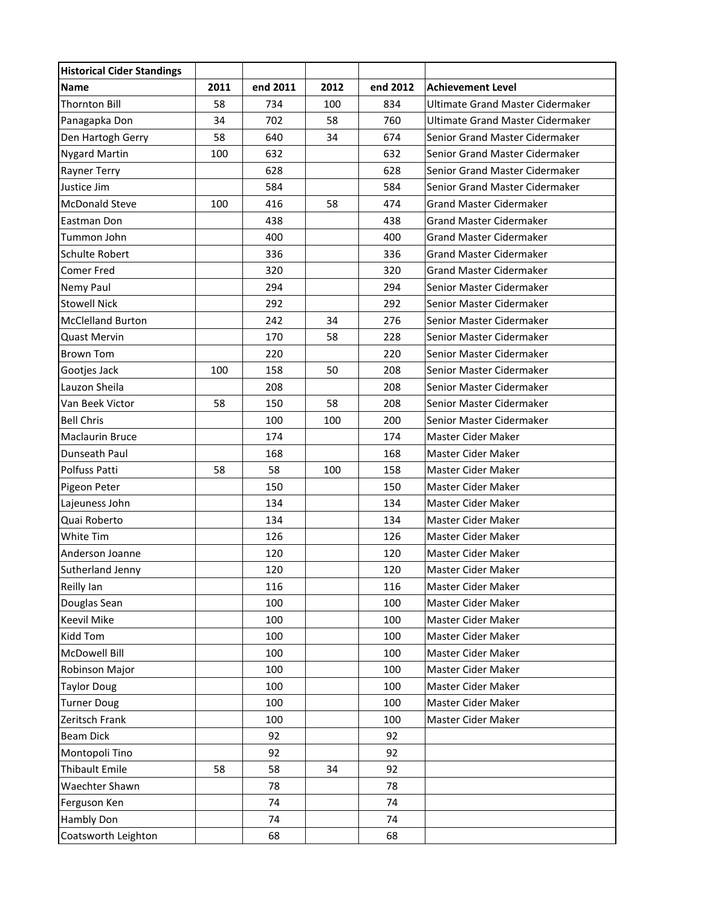| <b>Historical Cider Standings</b> |      |          |      |          |                                         |
|-----------------------------------|------|----------|------|----------|-----------------------------------------|
| Name                              | 2011 | end 2011 | 2012 | end 2012 | <b>Achievement Level</b>                |
| <b>Thornton Bill</b>              | 58   | 734      | 100  | 834      | <b>Ultimate Grand Master Cidermaker</b> |
| Panagapka Don                     | 34   | 702      | 58   | 760      | <b>Ultimate Grand Master Cidermaker</b> |
| Den Hartogh Gerry                 | 58   | 640      | 34   | 674      | Senior Grand Master Cidermaker          |
| <b>Nygard Martin</b>              | 100  | 632      |      | 632      | Senior Grand Master Cidermaker          |
| Rayner Terry                      |      | 628      |      | 628      | Senior Grand Master Cidermaker          |
| Justice Jim                       |      | 584      |      | 584      | Senior Grand Master Cidermaker          |
| <b>McDonald Steve</b>             | 100  | 416      | 58   | 474      | <b>Grand Master Cidermaker</b>          |
| Eastman Don                       |      | 438      |      | 438      | <b>Grand Master Cidermaker</b>          |
| Tummon John                       |      | 400      |      | 400      | <b>Grand Master Cidermaker</b>          |
| Schulte Robert                    |      | 336      |      | 336      | <b>Grand Master Cidermaker</b>          |
| <b>Comer Fred</b>                 |      | 320      |      | 320      | <b>Grand Master Cidermaker</b>          |
| Nemy Paul                         |      | 294      |      | 294      | Senior Master Cidermaker                |
| <b>Stowell Nick</b>               |      | 292      |      | 292      | Senior Master Cidermaker                |
| <b>McClelland Burton</b>          |      | 242      | 34   | 276      | Senior Master Cidermaker                |
| <b>Quast Mervin</b>               |      | 170      | 58   | 228      | Senior Master Cidermaker                |
| <b>Brown Tom</b>                  |      | 220      |      | 220      | Senior Master Cidermaker                |
| Gootjes Jack                      | 100  | 158      | 50   | 208      | Senior Master Cidermaker                |
| Lauzon Sheila                     |      | 208      |      | 208      | Senior Master Cidermaker                |
| Van Beek Victor                   | 58   | 150      | 58   | 208      | Senior Master Cidermaker                |
| <b>Bell Chris</b>                 |      | 100      | 100  | 200      | Senior Master Cidermaker                |
| <b>Maclaurin Bruce</b>            |      | 174      |      | 174      | Master Cider Maker                      |
| Dunseath Paul                     |      | 168      |      | 168      | Master Cider Maker                      |
| Polfuss Patti                     | 58   | 58       | 100  | 158      | Master Cider Maker                      |
| Pigeon Peter                      |      | 150      |      | 150      | Master Cider Maker                      |
| Lajeuness John                    |      | 134      |      | 134      | Master Cider Maker                      |
| Quai Roberto                      |      | 134      |      | 134      | Master Cider Maker                      |
| White Tim                         |      | 126      |      | 126      | Master Cider Maker                      |
| Anderson Joanne                   |      | 120      |      | 120      | Master Cider Maker                      |
| Sutherland Jenny                  |      | 120      |      | 120      | Master Cider Maker                      |
| Reilly Ian                        |      | 116      |      | 116      | Master Cider Maker                      |
| Douglas Sean                      |      | 100      |      | 100      | Master Cider Maker                      |
| <b>Keevil Mike</b>                |      | 100      |      | 100      | Master Cider Maker                      |
| Kidd Tom                          |      | 100      |      | 100      | Master Cider Maker                      |
| McDowell Bill                     |      | 100      |      | 100      | Master Cider Maker                      |
| Robinson Major                    |      | 100      |      | 100      | Master Cider Maker                      |
| <b>Taylor Doug</b>                |      | 100      |      | 100      | Master Cider Maker                      |
| <b>Turner Doug</b>                |      | 100      |      | 100      | Master Cider Maker                      |
| Zeritsch Frank                    |      | 100      |      | 100      | Master Cider Maker                      |
| <b>Beam Dick</b>                  |      | 92       |      | 92       |                                         |
| Montopoli Tino                    |      | 92       |      | 92       |                                         |
| Thibault Emile                    | 58   | 58       | 34   | 92       |                                         |
| Waechter Shawn                    |      | 78       |      | 78       |                                         |
| Ferguson Ken                      |      | 74       |      | 74       |                                         |
| Hambly Don                        |      | 74       |      | 74       |                                         |
| Coatsworth Leighton               |      | 68       |      | 68       |                                         |